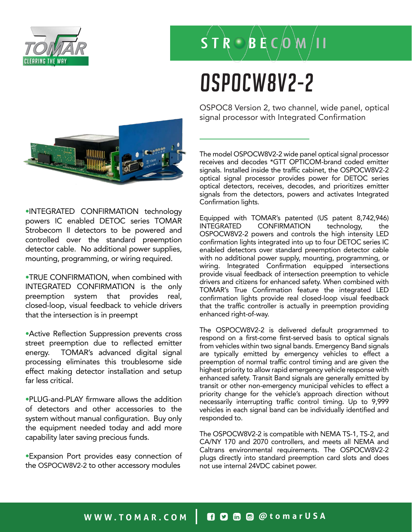

### $S T R O B E C O M$

# OSPOCW8V2-2

•INTEGRATED CONFIRMATION technology powers IC enabled DETOC series TOMAR Strobecom II detectors to be powered and controlled over the standard preemption detector cable. No additional power supplies, mounting, programming, or wiring required.

•TRUE CONFIRMATION, when combined with INTEGRATED CONFIRMATION is the only preemption system that provides real, closed-loop, visual feedback to vehicle drivers that the intersection is in preempt

•Active Reflection Suppression prevents cross street preemption due to reflected emitter energy. TOMAR's advanced digital signal processing eliminates this troublesome side effect making detector installation and setup far less critical.

•PLUG-and-PLAY firmware allows the addition of detectors and other accessories to the system without manual configuration. Buy only the equipment needed today and add more capability later saving precious funds.

•Expansion Port provides easy connection of the OSPOCW8V2-2 to other accessory modules

OSPOC8 Version 2, two channel, wide panel, optical signal processor with Integrated Confirmation

The model OSPOCW8V2-2 wide panel optical signal processor receives and decodes \*GTT OPTICOM-brand coded emitter signals. Installed inside the traffic cabinet, the OSPOCW8V2-2 optical signal processor provides power for DETOC series optical detectors, receives, decodes, and prioritizes emitter signals from the detectors, powers and activates Integrated Confirmation lights.

Equipped with TOMAR's patented (US patent 8,742,946) INTEGRATED CONFIRMATION technology, the OSPOCW8V2-2 powers and controls the high intensity LED confirmation lights integrated into up to four DETOC series IC enabled detectors over standard preemption detector cable with no additional power supply, mounting, programming, or wiring. Integrated Confirmation equipped intersections provide visual feedback of intersection preemption to vehicle drivers and citizens for enhanced safety. When combined with TOMAR's True Confirmation feature the integrated LED confirmation lights provide real closed-loop visual feedback that the traffic controller is actually in preemption providing enhanced right-of-way.

The OSPOCW8V2-2 is delivered default programmed to respond on a first-come first-served basis to optical signals from vehicles within two signal bands. Emergency Band signals are typically emitted by emergency vehicles to effect a preemption of normal traffic control timing and are given the highest priority to allow rapid emergency vehicle response with enhanced safety. Transit Band signals are generally emitted by transit or other non-emergency municipal vehicles to effect a priority change for the vehicle's approach direction without necessarily interrupting traffic control timing. Up to 9,999 vehicles in each signal band can be individually identified and responded to.

The OSPOCW8V2-2 is compatible with NEMA TS-1, TS-2, and CA/NY 170 and 2070 controllers, and meets all NEMA and Caltrans environmental requirements. The OSPOCW8V2-2 plugs directly into standard preemption card slots and does not use internal 24VDC cabinet power.